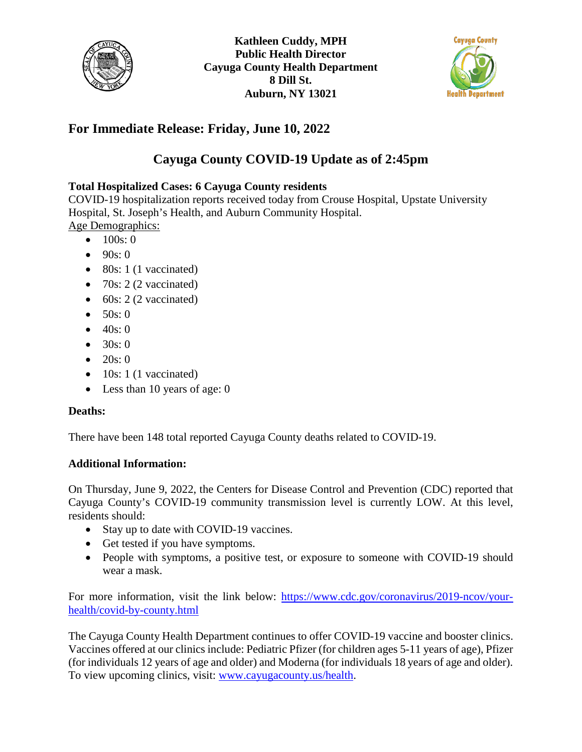



## **For Immediate Release: Friday, June 10, 2022**

# **Cayuga County COVID-19 Update as of 2:45pm**

## **Total Hospitalized Cases: 6 Cayuga County residents**

COVID-19 hospitalization reports received today from Crouse Hospital, Upstate University Hospital, St. Joseph's Health, and Auburn Community Hospital. Age Demographics:

- $100s:0$
- $90s:0$
- 80s: 1 (1 vaccinated)
- 70s: 2 (2 vaccinated)
- $\bullet$  60s: 2 (2 vaccinated)
- $50s:0$
- $40s:0$
- 30s: 0
- 20s: 0
- $\bullet$  10s: 1 (1 vaccinated)
- Less than 10 years of age: 0

### **Deaths:**

There have been 148 total reported Cayuga County deaths related to COVID-19.

### **Additional Information:**

On Thursday, June 9, 2022, the Centers for Disease Control and Prevention (CDC) reported that Cayuga County's COVID-19 community transmission level is currently LOW. At this level, residents should:

- Stay up to date with COVID-19 vaccines.
- Get tested if you have symptoms.
- People with symptoms, a positive test, or exposure to someone with COVID-19 should wear a mask.

For more information, visit the link below: [https://www.cdc.gov/coronavirus/2019-ncov/your](https://www.cdc.gov/coronavirus/2019-ncov/your-health/covid-by-county.html)[health/covid-by-county.html](https://www.cdc.gov/coronavirus/2019-ncov/your-health/covid-by-county.html)

The Cayuga County Health Department continues to offer COVID-19 vaccine and booster clinics. Vaccines offered at our clinics include: Pediatric Pfizer (for children ages 5-11 years of age), Pfizer (for individuals 12 years of age and older) and Moderna (for individuals 18 years of age and older). To view upcoming clinics, visit: [www.cayugacounty.us/health.](http://www.cayugacounty.us/health)